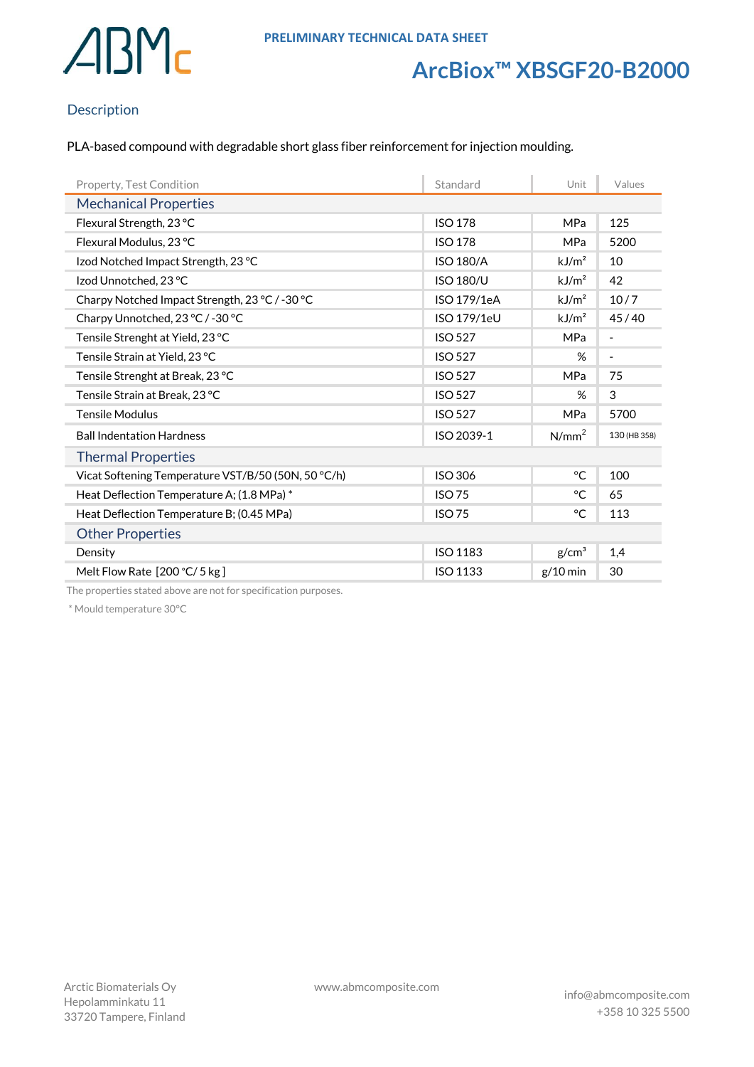

## **ArcBiox™ XBSGF20-B2000**

### Description

PLA-based compound with degradable short glass fiber reinforcement for injection moulding.

| Property, Test Condition                            | Standard         | Unit              | Values                   |  |
|-----------------------------------------------------|------------------|-------------------|--------------------------|--|
| <b>Mechanical Properties</b>                        |                  |                   |                          |  |
| Flexural Strength, 23 °C                            | <b>ISO 178</b>   | MPa               | 125                      |  |
| Flexural Modulus, 23 °C                             | <b>ISO 178</b>   | <b>MPa</b>        | 5200                     |  |
| Izod Notched Impact Strength, 23 °C                 | <b>ISO 180/A</b> | kJ/m <sup>2</sup> | 10                       |  |
| Izod Unnotched, 23 °C                               | <b>ISO 180/U</b> | kJ/m <sup>2</sup> | 42                       |  |
| Charpy Notched Impact Strength, 23 °C / -30 °C      | ISO 179/1eA      | kJ/m <sup>2</sup> | 10/7                     |  |
| Charpy Unnotched, 23 °C / -30 °C                    | ISO 179/1eU      | kJ/m <sup>2</sup> | 45/40                    |  |
| Tensile Strenght at Yield, 23 °C                    | <b>ISO 527</b>   | <b>MPa</b>        | $\overline{\phantom{a}}$ |  |
| Tensile Strain at Yield, 23 °C                      | <b>ISO 527</b>   | %                 | $\overline{\phantom{a}}$ |  |
| Tensile Strenght at Break, 23 °C                    | <b>ISO 527</b>   | <b>MPa</b>        | 75                       |  |
| Tensile Strain at Break, 23 °C                      | <b>ISO 527</b>   | %                 | 3                        |  |
| <b>Tensile Modulus</b>                              | <b>ISO 527</b>   | MPa               | 5700                     |  |
| <b>Ball Indentation Hardness</b>                    | ISO 2039-1       | N/mm <sup>2</sup> | 130 (HB 358)             |  |
| <b>Thermal Properties</b>                           |                  |                   |                          |  |
| Vicat Softening Temperature VST/B/50 (50N, 50 °C/h) | <b>ISO 306</b>   | $^{\circ}C$       | 100                      |  |
| Heat Deflection Temperature A; (1.8 MPa)*           | <b>ISO 75</b>    | °C                | 65                       |  |
| Heat Deflection Temperature B; (0.45 MPa)           | <b>ISO 75</b>    | °C                | 113                      |  |
| <b>Other Properties</b>                             |                  |                   |                          |  |
| Density                                             | <b>ISO 1183</b>  | g/cm <sup>3</sup> | 1,4                      |  |
| Melt Flow Rate [200 °C/ 5 kg]                       | <b>ISO 1133</b>  | $g/10$ min        | 30                       |  |

The properties stated above are not for specification purposes.

\* Mould temperature 30°C